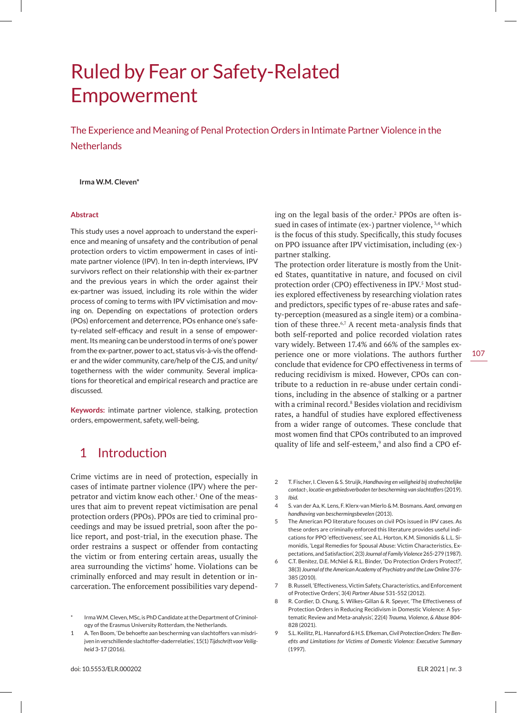# Ruled by Fear or Safety-Related Empowerment

The Experience and Meaning of Penal Protection Orders in Intimate Partner Violence in the **Netherlands** 

### **Irma W.M. Cleven\***

#### **Abstract**

This study uses a novel approach to understand the experience and meaning of unsafety and the contribution of penal protection orders to victim empowerment in cases of intimate partner violence (IPV). In ten in-depth interviews, IPV survivors reflect on their relationship with their ex-partner and the previous years in which the order against their ex-partner was issued, including its role within the wider process of coming to terms with IPV victimisation and moving on. Depending on expectations of protection orders (POs) enforcement and deterrence, POs enhance one's safety-related self-efficacy and result in a sense of empowerment. Its meaning can be understood in terms of one's power from the ex-partner, power to act, status vis-à-vis the offender and the wider community, care/help of the CJS, and unity/ togetherness with the wider community. Several implications for theoretical and empirical research and practice are discussed.

**Keywords:** intimate partner violence, stalking, protection orders, empowerment, safety, well-being.

# 1 Introduction

Crime victims are in need of protection, especially in cases of intimate partner violence (IPV) where the perpetrator and victim know each other.1 One of the measures that aim to prevent repeat victimisation are penal protection orders (PPOs). PPOs are tied to criminal proceedings and may be issued pretrial, soon after the police report, and post-trial, in the execution phase. The order restrains a suspect or offender from contacting the victim or from entering certain areas, usually the area surrounding the victims' home. Violations can be criminally enforced and may result in detention or incarceration. The enforcement possibilities vary depend-

ing on the legal basis of the order.<sup>2</sup> PPOs are often issued in cases of intimate (ex-) partner violence,  $3,4$  which is the focus of this study. Specifically, this study focuses on PPO issuance after IPV victimisation, including (ex-) partner stalking.

The protection order literature is mostly from the United States, quantitative in nature, and focused on civil protection order (CPO) effectiveness in IPV.<sup>5</sup> Most studies explored effectiveness by researching violation rates and predictors, specific types of re-abuse rates and safety-perception (measured as a single item) or a combination of these three.6,7 A recent meta-analysis finds that both self-reported and police recorded violation rates vary widely. Between 17.4% and 66% of the samples experience one or more violations. The authors further conclude that evidence for CPO effectiveness in terms of reducing recidivism is mixed. However, CPOs can contribute to a reduction in re-abuse under certain conditions, including in the absence of stalking or a partner with a criminal record.<sup>8</sup> Besides violation and recidivism rates, a handful of studies have explored effectiveness from a wider range of outcomes. These conclude that most women find that CPOs contributed to an improved quality of life and self-esteem,<sup>9</sup> and also find a CPO ef-

- 2 T. Fischer, I. Cleven & S. Struijk, *Handhaving en veiligheid bij strafrechtelijke contact-, locatie-en gebiedsverboden ter bescherming van slachtoffers* (2019). 3 *Ibid*.
- 4 S. van der Aa, K. Lens, F. Klerx-van Mierlo & M. Bosmans. *Aard, omvang en handhaving van beschermingsbevelen* (2013).
- 5 The American PO literature focuses on civil POs issued in IPV cases. As these orders are criminally enforced this literature provides useful indications for PPO 'effectiveness', see A.L. Horton, K.M. Simonidis & L.L. Simonidis, 'Legal Remedies for Spousal Abuse: Victim Characteristics, Expectations, and Satisfaction', 2(3) *Journal of Family Violence* 265-279 (1987).
- 6 C.T. Benitez, D.E. McNiel & R.L. Binder, 'Do Protection Orders Protect?', 38(3) *Journal of the American Academy of Psychiatry and the Law Online* 376- 385 (2010).
- 7 B. Russell, 'Effectiveness, Victim Safety, Characteristics, and Enforcement of Protective Orders', 3(4) *Partner Abuse* 531-552 (2012).
- 8 R. Cordier, D. Chung, S. Wilkes-Gillan & R. Speyer, 'The Effectiveness of Protection Orders in Reducing Recidivism in Domestic Violence: A Systematic Review and Meta-analysis', 22(4) *Trauma, Violence, & Abuse* 804- 828 (2021).
- 9 S.L. Keilitz, P.L. Hannaford & H.S. Efkeman, *Civil Protection Orders: The Benefits and Limitations for Victims of Domestic Violence: Executive Summary* (1997).

Irma W.M. Cleven, MSc, is PhD Candidate at the Department of Criminology of the Erasmus University Rotterdam, the Netherlands.

<sup>1</sup> A. Ten Boom, 'De behoefte aan bescherming van slachtoffers van misdrijven in verschillende slachtoffer-daderrelaties', 15(1) *Tijdschrift voor Veiligheid* 3-17 (2016).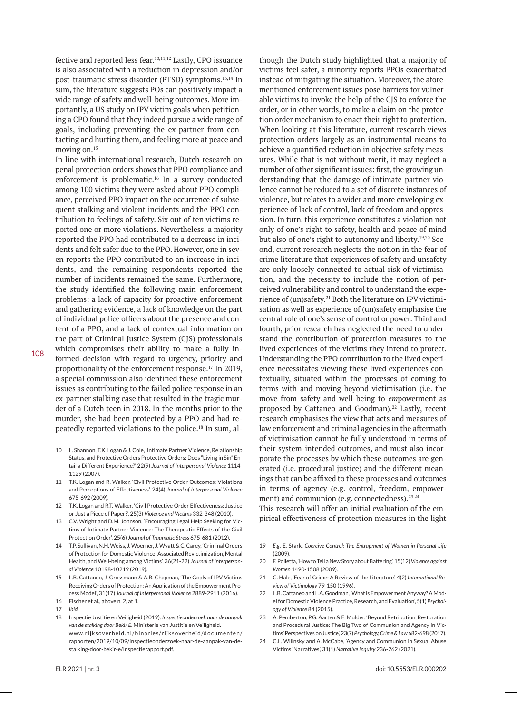fective and reported less fear.10,11,12 Lastly, CPO issuance is also associated with a reduction in depression and/or post-traumatic stress disorder (PTSD) symptoms.13,14 In sum, the literature suggests POs can positively impact a wide range of safety and well-being outcomes. More importantly, a US study on IPV victim goals when petitioning a CPO found that they indeed pursue a wide range of goals, including preventing the ex-partner from contacting and hurting them, and feeling more at peace and moving on.15

In line with international research, Dutch research on penal protection orders shows that PPO compliance and enforcement is problematic.<sup>16</sup> In a survey conducted among 100 victims they were asked about PPO compliance, perceived PPO impact on the occurrence of subsequent stalking and violent incidents and the PPO contribution to feelings of safety. Six out of ten victims reported one or more violations. Nevertheless, a majority reported the PPO had contributed to a decrease in incidents and felt safer due to the PPO. However, one in seven reports the PPO contributed to an increase in incidents, and the remaining respondents reported the number of incidents remained the same. Furthermore, the study identified the following main enforcement problems: a lack of capacity for proactive enforcement and gathering evidence, a lack of knowledge on the part of individual police officers about the presence and content of a PPO, and a lack of contextual information on the part of Criminal Justice System (CJS) professionals which compromises their ability to make a fully informed decision with regard to urgency, priority and proportionality of the enforcement response.17 In 2019, a special commission also identified these enforcement issues as contributing to the failed police response in an ex-partner stalking case that resulted in the tragic murder of a Dutch teen in 2018. In the months prior to the murder, she had been protected by a PPO and had repeatedly reported violations to the police.18 In sum, al-

- 10 L. Shannon, T.K. Logan & J. Cole, 'Intimate Partner Violence, Relationship Status, and Protective Orders Protective Orders: Does "Living in Sin" Entail a Different Experience?' 22(9) *Journal of Interpersonal Violence* 1114- 1129 (2007).
- 11 T.K. Logan and R. Walker, 'Civil Protective Order Outcomes: Violations and Perceptions of Effectiveness', 24(4) *Journal of Interpersonal Violence* 675-692 (2009).
- 12 T.K. Logan and R.T. Walker, 'Civil Protective Order Effectiveness: Justice or Just a Piece of Paper?', 25(3) *Violence and Victims* 332-348 (2010).
- 13 C.V. Wright and D.M. Johnson, 'Encouraging Legal Help Seeking for Victims of Intimate Partner Violence: The Therapeutic Effects of the Civil Protection Order', 25(6) *Journal of Traumatic Stress* 675-681 (2012).
- 14 T.P. Sullivan, N.H. Weiss, J. Woerner, J. Wyatt & C. Carey, 'Criminal Orders of Protection for Domestic Violence: Associated Revictimization, Mental Health, and Well-being among Victims', 36(21-22) *Journal of Interpersonal Violence* 10198-10219 (2019).
- 15 L.B. Cattaneo, J. Grossmann & A.R. Chapman, 'The Goals of IPV Victims Receiving Orders of Protection: An Application of the Empowerment Process Model', 31(17) *Journal of Interpersonal Violence* 2889-2911 (2016).
- 16 Fischer et al., above n. 2, at 1.
- 17 *Ibid*.
- 18 Inspectie Justitie en Veiligheid (2019). *Inspectieonderzoek naar de aanpak van de stalking door Bekir E*. Ministerie van Justitie en Veiligheid. www.rijksoverheid.nl/binaries/rijksoverheid/documenten/ rapporten/2019/10/09/inspectieonderzoek-naar-de-aanpak-van-destalking-door-bekir-e/Inspectierapport.pdf.

though the Dutch study highlighted that a majority of victims feel safer, a minority reports PPOs exacerbated instead of mitigating the situation. Moreover, the aforementioned enforcement issues pose barriers for vulnerable victims to invoke the help of the CJS to enforce the order, or in other words, to make a claim on the protection order mechanism to enact their right to protection. When looking at this literature, current research views protection orders largely as an instrumental means to achieve a quantified reduction in objective safety measures. While that is not without merit, it may neglect a number of other significant issues: first, the growing understanding that the damage of intimate partner violence cannot be reduced to a set of discrete instances of violence, but relates to a wider and more enveloping experience of lack of control, lack of freedom and oppression. In turn, this experience constitutes a violation not only of one's right to safety, health and peace of mind but also of one's right to autonomy and liberty.19,20 Second, current research neglects the notion in the fear of crime literature that experiences of safety and unsafety are only loosely connected to actual risk of victimisation, and the necessity to include the notion of perceived vulnerability and control to understand the experience of (un)safety.21 Both the literature on IPV victimisation as well as experience of (un)safety emphasise the central role of one's sense of control or power. Third and fourth, prior research has neglected the need to understand the contribution of protection measures to the lived experiences of the victims they intend to protect. Understanding the PPO contribution to the lived experience necessitates viewing these lived experiences contextually, situated within the processes of coming to terms with and moving beyond victimisation (i.e. the move from safety and well-being to *em*powerment as proposed by Cattaneo and Goodman).<sup>22</sup> Lastly, recent research emphasises the view that acts and measures of law enforcement and criminal agencies in the aftermath of victimisation cannot be fully understood in terms of their system-intended outcomes, and must also incorporate the processes by which these outcomes are generated (i.e. procedural justice) and the different meanings that can be affixed to these processes and outcomes in terms of agency (e.g. control, freedom, empowerment) and communion (e.g. connectedness).<sup>23,24</sup>

This research will offer an initial evaluation of the empirical effectiveness of protection measures in the light

- 19 *E.g*. E. Stark. *Coercive Control: The Entrapment of Women in Personal Life* (2009).
- 20 F. Polletta, 'How to Tell a New Story about Battering', 15(12) *Violence against Women* 1490-1508 (2009).
- 21 C. Hale, 'Fear of Crime: A Review of the Literature', 4(2) *International Review of Victimology* 79-150 (1996).
- 22 L.B. Cattaneo and L.A. Goodman, 'What is Empowerment Anyway? A Model for Domestic Violence Practice, Research, and Evaluation', 5(1) *Psychology of Violence* 84 (2015).
- 23 A. Pemberton, P.G. Aarten & E. Mulder. 'Beyond Retribution, Restoration and Procedural Justice: The Big Two of Communion and Agency in Victims' Perspectives on Justice', 23(7) *Psychology, Crime & Law* 682-698 (2017).
- 24 C.L. Wilinsky and A. McCabe, 'Agency and Communion in Sexual Abuse Victims' Narratives', 31(1) *Narrative Inquiry* 236-262 (2021).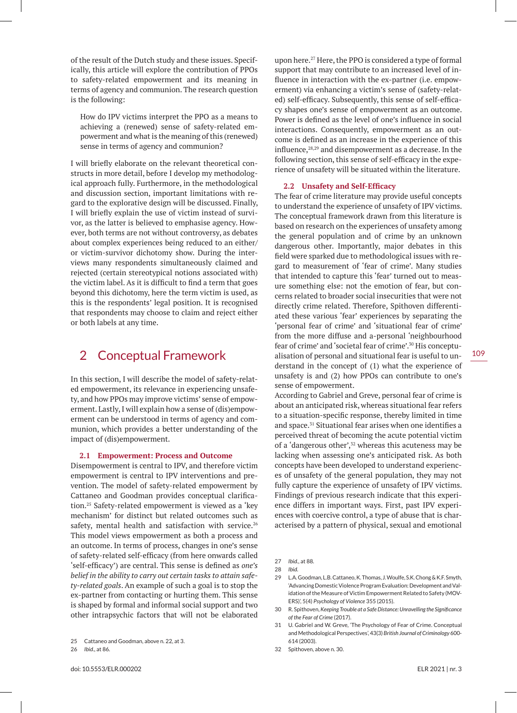of the result of the Dutch study and these issues. Specifically, this article will explore the contribution of PPOs to safety-related empowerment and its meaning in terms of agency and communion. The research question is the following:

How do IPV victims interpret the PPO as a means to achieving a (renewed) sense of safety-related empowerment and what is the meaning of this (renewed) sense in terms of agency and communion?

I will briefly elaborate on the relevant theoretical constructs in more detail, before I develop my methodological approach fully. Furthermore, in the methodological and discussion section, important limitations with regard to the explorative design will be discussed. Finally, I will briefly explain the use of victim instead of survivor, as the latter is believed to emphasise agency. However, both terms are not without controversy, as debates about complex experiences being reduced to an either/ or victim-survivor dichotomy show. During the interviews many respondents simultaneously claimed and rejected (certain stereotypical notions associated with) the victim label. As it is difficult to find a term that goes beyond this dichotomy, here the term victim is used, as this is the respondents' legal position. It is recognised that respondents may choose to claim and reject either or both labels at any time.

# 2 Conceptual Framework

In this section, I will describe the model of safety-related empowerment, its relevance in experiencing unsafety, and how PPOs may improve victims' sense of empowerment. Lastly, I will explain how a sense of (dis)empowerment can be understood in terms of agency and communion, which provides a better understanding of the impact of (dis)empowerment.

### **2.1 Empowerment: Process and Outcome**

Disempowerment is central to IPV, and therefore victim empowerment is central to IPV interventions and prevention. The model of safety-related empowerment by Cattaneo and Goodman provides conceptual clarification.25 Safety-related empowerment is viewed as a 'key mechanism' for distinct but related outcomes such as safety, mental health and satisfaction with service.<sup>26</sup> This model views empowerment as both a process and an outcome. In terms of process, changes in one's sense of safety-related self-efficacy (from here onwards called 'self-efficacy') are central. This sense is defined as *one's belief in the ability to carry out certain tasks to attain safety-related goals*. An example of such a goal is to stop the ex-partner from contacting or hurting them. This sense is shaped by formal and informal social support and two other intrapsychic factors that will not be elaborated

26 *Ibid*., at 86.

upon here.27 Here, the PPO is considered a type of formal support that may contribute to an increased level of influence in interaction with the ex-partner (i.e. empowerment) via enhancing a victim's sense of (safety-related) self-efficacy. Subsequently, this sense of self-efficacy shapes one's sense of empowerment as an outcome. Power is defined as the level of one's influence in social interactions. Consequently, empowerment as an outcome is defined as an increase in the experience of this influence, $28,29$  and disempowerment as a decrease. In the following section, this sense of self-efficacy in the experience of unsafety will be situated within the literature.

#### **2.2 Unsafety and Self-Efficacy**

The fear of crime literature may provide useful concepts to understand the experience of unsafety of IPV victims. The conceptual framework drawn from this literature is based on research on the experiences of unsafety among the general population and of crime by an unknown dangerous other. Importantly, major debates in this field were sparked due to methodological issues with regard to measurement of 'fear of crime'. Many studies that intended to capture this 'fear' turned out to measure something else: not the emotion of fear, but concerns related to broader social insecurities that were not directly crime related. Therefore, Spithoven differentiated these various 'fear' experiences by separating the 'personal fear of crime' and 'situational fear of crime' from the more diffuse and a-personal 'neighbourhood fear of crime' and 'societal fear of crime'.30 His conceptualisation of personal and situational fear is useful to understand in the concept of (1) what the experience of unsafety is and (2) how PPOs can contribute to one's sense of empowerment.

According to Gabriel and Greve, personal fear of crime is about an anticipated risk, whereas situational fear refers to a situation-specific response, thereby limited in time and space.31 Situational fear arises when one identifies a perceived threat of becoming the acute potential victim of a 'dangerous other',<sup>32</sup> whereas this acuteness may be lacking when assessing one's anticipated risk. As both concepts have been developed to understand experiences of unsafety of the general population, they may not fully capture the experience of unsafety of IPV victims. Findings of previous research indicate that this experience differs in important ways. First, past IPV experiences with coercive control, a type of abuse that is characterised by a pattern of physical, sexual and emotional

27 *Ibid*., at 88.

30 R. Spithoven, *Keeping Trouble at a Safe Distance: Unravelling the Significance of the Fear of Crime* (2017).

31 U. Gabriel and W. Greve, 'The Psychology of Fear of Crime. Conceptual and Methodological Perspectives', 43(3) *British Journal of Criminology* 600- 614 (2003).

32 Spithoven, above n. 30.

<sup>25</sup> Cattaneo and Goodman, above n. 22, at 3.

<sup>28</sup> *Ibid*.

<sup>29</sup> L.A. Goodman, L.B. Cattaneo, K. Thomas, J. Woulfe, S.K. Chong & K.F. Smyth, 'Advancing Domestic Violence Program Evaluation: Development and Validation of the Measure of Victim Empowerment Related to Safety (MOV-ERS)', 5(4) *Psychology of Violence* 355 (2015).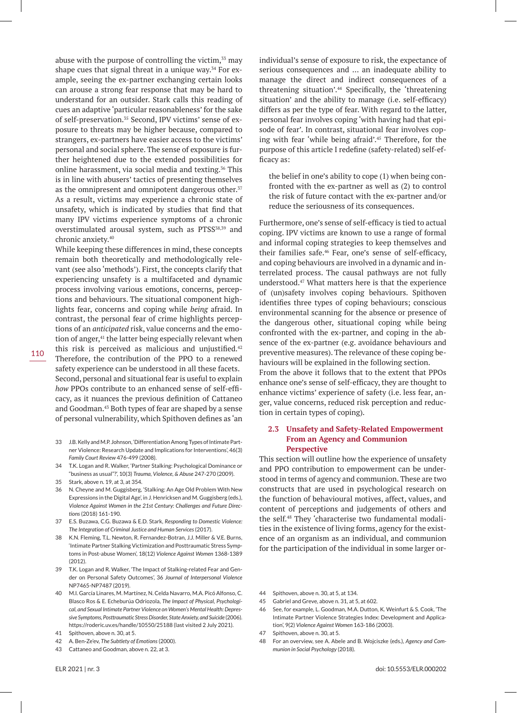abuse with the purpose of controlling the victim, $33$  may shape cues that signal threat in a unique way.<sup>34</sup> For example, seeing the ex-partner exchanging certain looks can arouse a strong fear response that may be hard to understand for an outsider. Stark calls this reading of cues an adaptive 'particular reasonableness' for the sake of self-preservation.<sup>35</sup> Second, IPV victims' sense of exposure to threats may be higher because, compared to strangers, ex-partners have easier access to the victims' personal and social sphere. The sense of exposure is further heightened due to the extended possibilities for online harassment, via social media and texting.36 This is in line with abusers' tactics of presenting themselves as the omnipresent and omnipotent dangerous other.<sup>37</sup> As a result, victims may experience a chronic state of unsafety, which is indicated by studies that find that many IPV victims experience symptoms of a chronic overstimulated arousal system, such as PTSS<sup>38,39</sup> and chronic anxiety.40

While keeping these differences in mind, these concepts remain both theoretically and methodologically relevant (see also 'methods'). First, the concepts clarify that experiencing unsafety is a multifaceted and dynamic process involving various emotions, concerns, perceptions and behaviours. The situational component highlights fear, concerns and coping while *being* afraid. In contrast, the personal fear of crime highlights perceptions of an *anticipated* risk, value concerns and the emotion of anger,<sup>41</sup> the latter being especially relevant when this risk is perceived as malicious and uniustified. $42$ Therefore, the contribution of the PPO to a renewed safety experience can be understood in all these facets. Second, personal and situational fear is useful to explain *how* PPOs contribute to an enhanced sense of self-efficacy, as it nuances the previous definition of Cattaneo and Goodman.43 Both types of fear are shaped by a sense of personal vulnerability, which Spithoven defines as 'an

- 33 J.B. Kelly and M.P. Johnson, 'Differentiation Among Types of Intimate Partner Violence: Research Update and Implications for Interventions', 46(3) *Family Court Review* 476-499 (2008).
- 34 T.K. Logan and R. Walker, 'Partner Stalking: Psychological Dominance or "business as usual"?', 10(3) *Trauma, Violence, & Abuse* 247-270 (2009).
- 35 Stark, above n. 19, at 3, at 354.
- 36 N. Cheyne and M. Guggisberg, 'Stalking: An Age Old Problem With New Expressions in the Digital Age', in J. Henricksen and M. Guggisberg (eds.), *Violence Against Women in the 21st Century: Challenges and Future Directions* (2018) 161-190.
- 37 E.S. Buzawa, C.G. Buzawa & E.D. Stark, *Responding to Domestic Violence: The Integration of Criminal Justice and Human Services* (2017).
- 38 K.N. Fleming, T.L. Newton, R. Fernandez-Botran, J.J. Miller & V.E. Burns, 'Intimate Partner Stalking Victimization and Posttraumatic Stress Symptoms in Post-abuse Women', 18(12) *Violence Against Women* 1368-1389 (2012).
- 39 T.K. Logan and R. Walker, 'The Impact of Stalking-related Fear and Gender on Personal Safety Outcomes', 36 *Journal of Interpersonal Violence* NP7465-NP7487 (2019).
- 40 M.I. García Linares, M. Martínez, N. Celda Navarro, M.A. Picó Alfonso, C. Blasco Ros & E. Echeburúa Odriozola, *The Impact of Physical, Psychological, and Sexual Intimate Partner Violence on Women's Mental Health: Depressive Symptoms, Posttraumatic Stress Disorder, State Anxiety, and Suicide* (2006). https://roderic.uv.es/handle/10550/25188 (last visited 2 July 2021).
- 41 Spithoven, above n. 30, at 5.
- 42 A. Ben-Ze'ev, *The Subtlety of Emotions* (2000).
- 43 Cattaneo and Goodman, above n. 22, at 3.

individual's sense of exposure to risk, the expectance of serious consequences and … an inadequate ability to manage the direct and indirect consequences of a threatening situation'.44 Specifically, the 'threatening situation' and the ability to manage (i.e. self-efficacy) differs as per the type of fear. With regard to the latter, personal fear involves coping 'with having had that episode of fear'. In contrast, situational fear involves coping with fear 'while being afraid'.45 Therefore, for the purpose of this article I redefine (safety-related) self-efficacy as:

the belief in one's ability to cope (1) when being confronted with the ex-partner as well as (2) to control the risk of future contact with the ex-partner and/or reduce the seriousness of its consequences.

Furthermore, one's sense of self-efficacy is tied to actual coping. IPV victims are known to use a range of formal and informal coping strategies to keep themselves and their families safe.46 Fear, one's sense of self-efficacy, and coping behaviours are involved in a dynamic and interrelated process. The causal pathways are not fully understood.47 What matters here is that the experience of (un)safety involves coping behaviours. Spithoven identifies three types of coping behaviours; conscious environmental scanning for the absence or presence of the dangerous other, situational coping while being confronted with the ex-partner, and coping in the absence of the ex-partner (e.g. avoidance behaviours and preventive measures). The relevance of these coping behaviours will be explained in the following section. From the above it follows that to the extent that PPOs enhance one's sense of self-efficacy, they are thought to enhance victims' experience of safety (i.e. less fear, anger, value concerns, reduced risk perception and reduction in certain types of coping).

# **2.3 Unsafety and Safety-Related Empowerment From an Agency and Communion Perspective**

This section will outline how the experience of unsafety and PPO contribution to empowerment can be understood in terms of agency and communion. These are two constructs that are used in psychological research on the function of behavioural motives, affect, values, and content of perceptions and judgements of others and the self.48 They 'characterise two fundamental modalities in the existence of living forms, agency for the existence of an organism as an individual, and communion for the participation of the individual in some larger or-

- 44 Spithoven, above n. 30, at 5, at 134.
- 45 Gabriel and Greve, above n. 31, at 5, at 602.
- 46 See, for example, L. Goodman, M.A. Dutton, K. Weinfurt & S. Cook, 'The Intimate Partner Violence Strategies Index: Development and Application', 9(2) *Violence Against Women* 163-186 (2003).
- 47 Spithoven, above n. 30, at 5.
- 48 For an overview, see A. Abele and B. Wojciszke (eds.), *Agency and Communion in Social Psychology* (2018).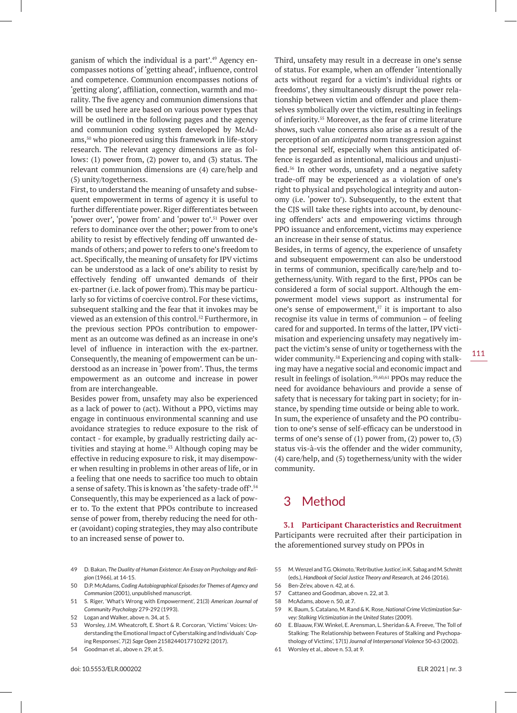ganism of which the individual is a part'.<sup>49</sup> Agency encompasses notions of 'getting ahead', influence, control and competence. Communion encompasses notions of 'getting along', affiliation, connection, warmth and morality. The five agency and communion dimensions that will be used here are based on various power types that will be outlined in the following pages and the agency and communion coding system developed by McAdams,50 who pioneered using this framework in life-story research. The relevant agency dimensions are as follows: (1) power from, (2) power to, and (3) status. The relevant communion dimensions are (4) care/help and (5) unity/togetherness.

First, to understand the meaning of unsafety and subsequent empowerment in terms of agency it is useful to further differentiate power. Riger differentiates between 'power over', 'power from' and 'power to'.51 Power over refers to dominance over the other; power from to one's ability to resist by effectively fending off unwanted demands of others; and power to refers to one's freedom to act. Specifically, the meaning of unsafety for IPV victims can be understood as a lack of one's ability to resist by effectively fending off unwanted demands of their ex-partner (i.e. lack of power from). This may be particularly so for victims of coercive control. For these victims, subsequent stalking and the fear that it invokes may be viewed as an extension of this control.52 Furthermore, in the previous section PPOs contribution to empowerment as an outcome was defined as an increase in one's level of influence in interaction with the ex-partner. Consequently, the meaning of empowerment can be understood as an increase in 'power from'. Thus, the terms empowerment as an outcome and increase in power from are interchangeable.

Besides power from, unsafety may also be experienced as a lack of power to (act). Without a PPO, victims may engage in continuous environmental scanning and use avoidance strategies to reduce exposure to the risk of contact - for example, by gradually restricting daily activities and staying at home.<sup>53</sup> Although coping may be effective in reducing exposure to risk, it may disempower when resulting in problems in other areas of life, or in a feeling that one needs to sacrifice too much to obtain a sense of safety. This is known as 'the safety-trade off'.54 Consequently, this may be experienced as a lack of power to. To the extent that PPOs contribute to increased sense of power from, thereby reducing the need for other (avoidant) coping strategies, they may also contribute to an increased sense of power to.

- 49 D. Bakan, *The Duality of Human Existence: An Essay on Psychology and Religion* (1966), at 14-15.
- 50 D.P. McAdams, *Coding Autobiographical Episodes for Themes of Agency and Communion* (2001), unpublished manuscript.
- 51 S. Riger, 'What's Wrong with Empowerment', 21(3) *American Journal of Community Psychology* 279-292 (1993).
- 52 Logan and Walker, above n. 34, at 5.
- 53 Worsley, J.M. Wheatcroft, E. Short & R. Corcoran, 'Victims' Voices: Understanding the Emotional Impact of Cyberstalking and Individuals' Coping Responses', 7(2) *Sage Open* 2158244017710292 (2017).
- 54 Goodman et al., above n. 29, at 5.

Third, unsafety may result in a decrease in one's sense of status. For example, when an offender 'intentionally acts without regard for a victim's individual rights or freedoms', they simultaneously disrupt the power relationship between victim and offender and place themselves symbolically over the victim, resulting in feelings of inferiority.55 Moreover, as the fear of crime literature shows, such value concerns also arise as a result of the perception of an *anticipated* norm transgression against the personal self, especially when this anticipated offence is regarded as intentional, malicious and unjustified.56 In other words, unsafety and a negative safety trade-off may be experienced as a violation of one's right to physical and psychological integrity and autonomy (i.e. 'power to'). Subsequently, to the extent that the CJS will take these rights into account, by denouncing offenders' acts and empowering victims through PPO issuance and enforcement, victims may experience an increase in their sense of status.

Besides, in terms of agency, the experience of unsafety and subsequent empowerment can also be understood in terms of communion, specifically care/help and togetherness/unity. With regard to the first, PPOs can be considered a form of social support. Although the empowerment model views support as instrumental for one's sense of empowerment,<sup>57</sup> it is important to also recognise its value in terms of communion – of feeling cared for and supported. In terms of the latter, IPV victimisation and experiencing unsafety may negatively impact the victim's sense of unity or togetherness with the wider community.<sup>58</sup> Experiencing and coping with stalking may have a negative social and economic impact and result in feelings of isolation.59,60,61 PPOs may reduce the need for avoidance behaviours and provide a sense of safety that is necessary for taking part in society; for instance, by spending time outside or being able to work. In sum, the experience of unsafety and the PO contribution to one's sense of self-efficacy can be understood in terms of one's sense of  $(1)$  power from,  $(2)$  power to,  $(3)$ status vis-à-vis the offender and the wider community, (4) care/help, and (5) togetherness/unity with the wider community.

# 3 Method

**3.1 Participant Characteristics and Recruitment** Participants were recruited after their participation in the aforementioned survey study on PPOs in

- 55 M. Wenzel and T.G. Okimoto, 'Retributive Justice', in K. Sabag and M. Schmitt (eds.), *Handbook of Social Justice Theory and Research*, at 246 (2016).
- 56 Ben-Ze'ev, above n. 42, at 6.
- 57 Cattaneo and Goodman, above n. 22, at 3.
- 58 McAdams, above n. 50, at 7.
- 59 K. Baum, S. Catalano, M. Rand & K. Rose, *National Crime Victimization Survey: Stalking Victimization in the United States* (2009).
- 60 E. Blaauw, F.W. Winkel, E. Arensman, L. Sheridan & A. Freeve, 'The Toll of Stalking: The Relationship between Features of Stalking and Psychopathology of Victims', 17(1) *Journal of Interpersonal Violence* 50-63 (2002).
- 61 Worsley et al., above n. 53, at 9.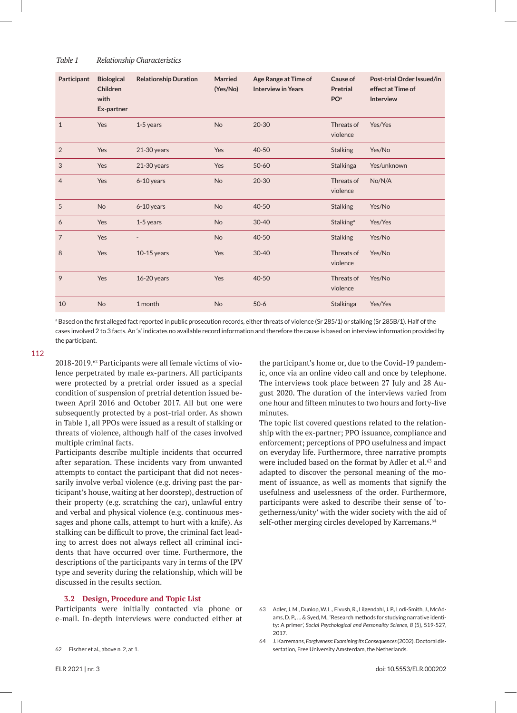| Participant    | <b>Biological</b><br>Children<br>with<br>Ex-partner | <b>Relationship Duration</b> | <b>Married</b><br>(Yes/No) | Age Range at Time of<br><b>Interview in Years</b> | Cause of<br><b>Pretrial</b><br>PO <sup>a</sup> | Post-trial Order Issued/in<br>effect at Time of<br><b>Interview</b> |
|----------------|-----------------------------------------------------|------------------------------|----------------------------|---------------------------------------------------|------------------------------------------------|---------------------------------------------------------------------|
| $\mathbf{1}$   | Yes                                                 | 1-5 years                    | <b>No</b>                  | $20 - 30$                                         | Threats of<br>violence                         | Yes/Yes                                                             |
| 2              | Yes                                                 | $21-30$ years                | Yes                        | 40-50                                             | <b>Stalking</b>                                | Yes/No                                                              |
| 3              | Yes                                                 | $21-30$ years                | Yes                        | $50 - 60$                                         | Stalkinga                                      | Yes/unknown                                                         |
| $\overline{4}$ | Yes                                                 | 6-10 years                   | <b>No</b>                  | $20 - 30$                                         | Threats of<br>violence                         | No/N/A                                                              |
| 5              | <b>No</b>                                           | 6-10 years                   | No                         | 40-50                                             | <b>Stalking</b>                                | Yes/No                                                              |
| 6              | Yes                                                 | 1-5 years                    | <b>No</b>                  | $30 - 40$                                         | Stalking <sup>a</sup>                          | Yes/Yes                                                             |
| $\overline{7}$ | Yes                                                 |                              | <b>No</b>                  | 40-50                                             | <b>Stalking</b>                                | Yes/No                                                              |
| 8              | Yes                                                 | $10-15$ years                | Yes                        | $30 - 40$                                         | Threats of<br>violence                         | Yes/No                                                              |
| 9              | Yes                                                 | 16-20 years                  | Yes                        | $40 - 50$                                         | Threats of<br>violence                         | Yes/No                                                              |
| 10             | <b>No</b>                                           | 1 month                      | <b>No</b>                  | $50-6$                                            | <b>Stalkinga</b>                               | Yes/Yes                                                             |

a Based on the first alleged fact reported in public prosecution records, either threats of violence (Sr 285/1) or stalking (Sr 285B/1). Half of the cases involved 2 to 3 facts. An 'a' indicates no available record information and therefore the cause is based on interview information provided by the participant.

2018-2019.62 Participants were all female victims of violence perpetrated by male ex-partners. All participants were protected by a pretrial order issued as a special condition of suspension of pretrial detention issued between April 2016 and October 2017. All but one were subsequently protected by a post-trial order. As shown in Table 1, all PPOs were issued as a result of stalking or threats of violence, although half of the cases involved multiple criminal facts.

Participants describe multiple incidents that occurred after separation. These incidents vary from unwanted attempts to contact the participant that did not necessarily involve verbal violence (e.g. driving past the participant's house, waiting at her doorstep), destruction of their property (e.g. scratching the car), unlawful entry and verbal and physical violence (e.g. continuous messages and phone calls, attempt to hurt with a knife). As stalking can be difficult to prove, the criminal fact leading to arrest does not always reflect all criminal incidents that have occurred over time. Furthermore, the descriptions of the participants vary in terms of the IPV type and severity during the relationship, which will be discussed in the results section.

#### **3.2 Design, Procedure and Topic List**

Participants were initially contacted via phone or e-mail. In-depth interviews were conducted either at the participant's home or, due to the Covid-19 pandemic, once via an online video call and once by telephone. The interviews took place between 27 July and 28 August 2020. The duration of the interviews varied from one hour and fifteen minutes to two hours and forty-five minutes.

The topic list covered questions related to the relationship with the ex-partner; PPO issuance, compliance and enforcement; perceptions of PPO usefulness and impact on everyday life. Furthermore, three narrative prompts were included based on the format by Adler et al.<sup>63</sup> and adapted to discover the personal meaning of the moment of issuance, as well as moments that signify the usefulness and uselessness of the order. Furthermore, participants were asked to describe their sense of 'togetherness/unity' with the wider society with the aid of self-other merging circles developed by Karremans.<sup>64</sup>

<sup>62</sup> Fischer et al., above n. 2, at 1.

<sup>63</sup> Adler, J. M., Dunlop, W. L., Fivush, R., Lilgendahl, J. P., Lodi-Smith, J., McAdams, D. P., … & Syed, M., 'Research methods for studying narrative identity: A primer', *Social Psychological and Personality Science, 8* (5), 519-527, 2017.

<sup>64</sup> J. Karremans, *Forgiveness: Examining Its Consequences* (2002). Doctoral dissertation, Free University Amsterdam, the Netherlands.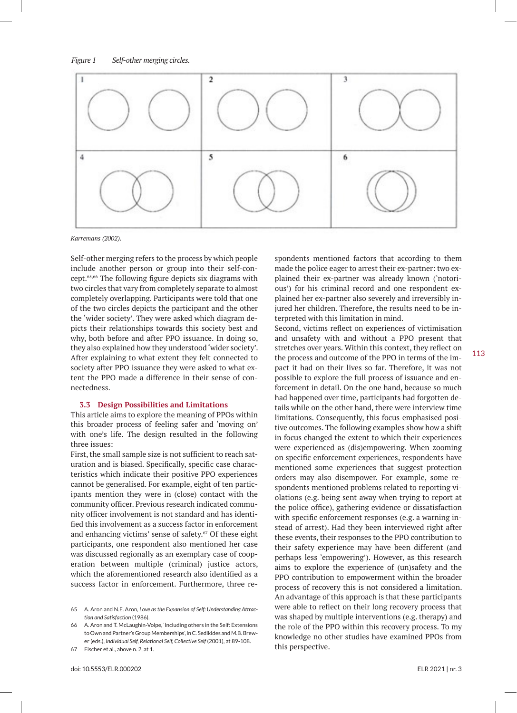

*Karremans (2002).*

Self-other merging refers to the process by which people include another person or group into their self-concept.65,66 The following figure depicts six diagrams with two circles that vary from completely separate to almost completely overlapping. Participants were told that one of the two circles depicts the participant and the other the 'wider society'. They were asked which diagram depicts their relationships towards this society best and why, both before and after PPO issuance. In doing so, they also explained how they understood 'wider society'. After explaining to what extent they felt connected to society after PPO issuance they were asked to what extent the PPO made a difference in their sense of connectedness.

#### **3.3 Design Possibilities and Limitations**

This article aims to explore the meaning of PPOs within this broader process of feeling safer and 'moving on' with one's life. The design resulted in the following three issues:

First, the small sample size is not sufficient to reach saturation and is biased. Specifically, specific case characteristics which indicate their positive PPO experiences cannot be generalised. For example, eight of ten participants mention they were in (close) contact with the community officer. Previous research indicated community officer involvement is not standard and has identified this involvement as a success factor in enforcement and enhancing victims' sense of safety.<sup>67</sup> Of these eight participants, one respondent also mentioned her case was discussed regionally as an exemplary case of cooperation between multiple (criminal) justice actors, which the aforementioned research also identified as a success factor in enforcement. Furthermore, three respondents mentioned factors that according to them made the police eager to arrest their ex-partner: two explained their ex-partner was already known ('notorious') for his criminal record and one respondent explained her ex-partner also severely and irreversibly injured her children. Therefore, the results need to be interpreted with this limitation in mind.

Second, victims reflect on experiences of victimisation and unsafety with and without a PPO present that stretches over years. Within this context, they reflect on the process and outcome of the PPO in terms of the impact it had on their lives so far. Therefore, it was not possible to explore the full process of issuance and enforcement in detail. On the one hand, because so much had happened over time, participants had forgotten details while on the other hand, there were interview time limitations. Consequently, this focus emphasised positive outcomes. The following examples show how a shift in focus changed the extent to which their experiences were experienced as (dis)empowering. When zooming on specific enforcement experiences, respondents have mentioned some experiences that suggest protection orders may also disempower. For example, some respondents mentioned problems related to reporting violations (e.g. being sent away when trying to report at the police office), gathering evidence or dissatisfaction with specific enforcement responses (e.g. a warning instead of arrest). Had they been interviewed right after these events, their responses to the PPO contribution to their safety experience may have been different (and perhaps less 'empowering'). However, as this research aims to explore the experience of (un)safety and the PPO contribution to empowerment within the broader process of recovery this is not considered a limitation. An advantage of this approach is that these participants were able to reflect on their long recovery process that was shaped by multiple interventions (e.g. therapy) and the role of the PPO within this recovery process. To my knowledge no other studies have examined PPOs from this perspective.

<sup>65</sup> A. Aron and N.E. Aron, *Love as the Expansion of Self: Understanding Attraction and Satisfaction* (1986).

<sup>66</sup> A. Aron and T. McLaughin-Volpe, 'Including others in the Self: Extensions to Own and Partner's Group Memberships', in C. Sedikides and M.B. Brewer (eds.), *Individual Self, Relational Self, Collective Self* (2001), at 89-108.

<sup>67</sup> Fischer et al., above n. 2, at 1.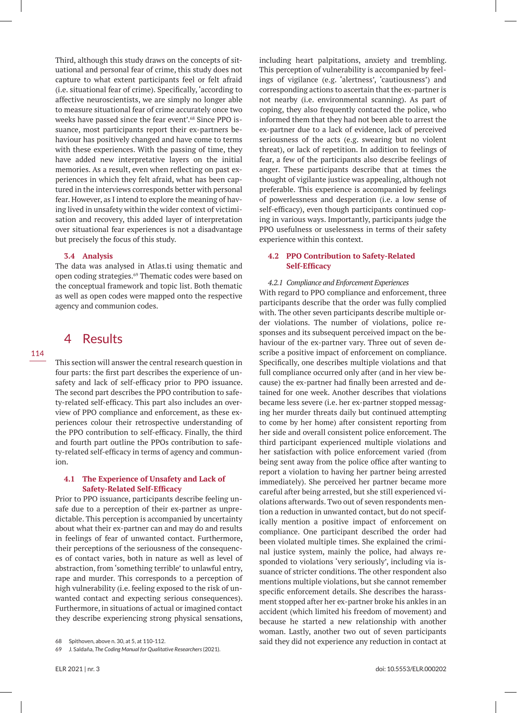Third, although this study draws on the concepts of situational and personal fear of crime, this study does not capture to what extent participants feel or felt afraid (i.e. situational fear of crime). Specifically, 'according to affective neuroscientists, we are simply no longer able to measure situational fear of crime accurately once two weeks have passed since the fear event'.<sup>68</sup> Since PPO issuance, most participants report their ex-partners behaviour has positively changed and have come to terms with these experiences. With the passing of time, they have added new interpretative layers on the initial memories. As a result, even when reflecting on past experiences in which they felt afraid, what has been captured in the interviews corresponds better with personal fear. However, as I intend to explore the meaning of having lived in unsafety within the wider context of victimisation and recovery, this added layer of interpretation over situational fear experiences is not a disadvantage but precisely the focus of this study.

### **3.4 Analysis**

The data was analysed in Atlas.ti using thematic and open coding strategies.<sup>69</sup> Thematic codes were based on the conceptual framework and topic list. Both thematic as well as open codes were mapped onto the respective agency and communion codes.

# 4 Results

This section will answer the central research question in four parts: the first part describes the experience of unsafety and lack of self-efficacy prior to PPO issuance. The second part describes the PPO contribution to safety-related self-efficacy. This part also includes an overview of PPO compliance and enforcement, as these experiences colour their retrospective understanding of the PPO contribution to self-efficacy. Finally, the third and fourth part outline the PPOs contribution to safety-related self-efficacy in terms of agency and communion.

# **4.1 The Experience of Unsafety and Lack of Safety-Related Self-Efficacy**

Prior to PPO issuance, participants describe feeling unsafe due to a perception of their ex-partner as unpredictable. This perception is accompanied by uncertainty about what their ex-partner can and may do and results in feelings of fear of unwanted contact. Furthermore, their perceptions of the seriousness of the consequences of contact varies, both in nature as well as level of abstraction, from 'something terrible' to unlawful entry, rape and murder. This corresponds to a perception of high vulnerability (i.e. feeling exposed to the risk of unwanted contact and expecting serious consequences). Furthermore, in situations of actual or imagined contact they describe experiencing strong physical sensations,

including heart palpitations, anxiety and trembling. This perception of vulnerability is accompanied by feelings of vigilance (e.g. 'alertness', 'cautiousness') and corresponding actions to ascertain that the ex-partner is not nearby (i.e. environmental scanning). As part of coping, they also frequently contacted the police, who informed them that they had not been able to arrest the ex-partner due to a lack of evidence, lack of perceived seriousness of the acts (e.g. swearing but no violent threat), or lack of repetition. In addition to feelings of fear, a few of the participants also describe feelings of anger. These participants describe that at times the thought of vigilante justice was appealing, although not preferable. This experience is accompanied by feelings of powerlessness and desperation (i.e. a low sense of self-efficacy), even though participants continued coping in various ways. Importantly, participants judge the PPO usefulness or uselessness in terms of their safety experience within this context.

# **4.2 PPO Contribution to Safety-Related Self-Efficacy**

# *4.2.1 Compliance and Enforcement Experiences*

With regard to PPO compliance and enforcement, three participants describe that the order was fully complied with. The other seven participants describe multiple order violations. The number of violations, police responses and its subsequent perceived impact on the behaviour of the ex-partner vary. Three out of seven describe a positive impact of enforcement on compliance. Specifically, one describes multiple violations and that full compliance occurred only after (and in her view because) the ex-partner had finally been arrested and detained for one week. Another describes that violations became less severe (i.e. her ex-partner stopped messaging her murder threats daily but continued attempting to come by her home) after consistent reporting from her side and overall consistent police enforcement. The third participant experienced multiple violations and her satisfaction with police enforcement varied (from being sent away from the police office after wanting to report a violation to having her partner being arrested immediately). She perceived her partner became more careful after being arrested, but she still experienced violations afterwards. Two out of seven respondents mention a reduction in unwanted contact, but do not specifically mention a positive impact of enforcement on compliance. One participant described the order had been violated multiple times. She explained the criminal justice system, mainly the police, had always responded to violations 'very seriously', including via issuance of stricter conditions. The other respondent also mentions multiple violations, but she cannot remember specific enforcement details. She describes the harassment stopped after her ex-partner broke his ankles in an accident (which limited his freedom of movement) and because he started a new relationship with another woman. Lastly, another two out of seven participants said they did not experience any reduction in contact at

<sup>68</sup> Spithoven, above n. 30, at 5, at 110-112.

<sup>69</sup> J. Saldaña, *The Coding Manual for Qualitative Researchers* (2021).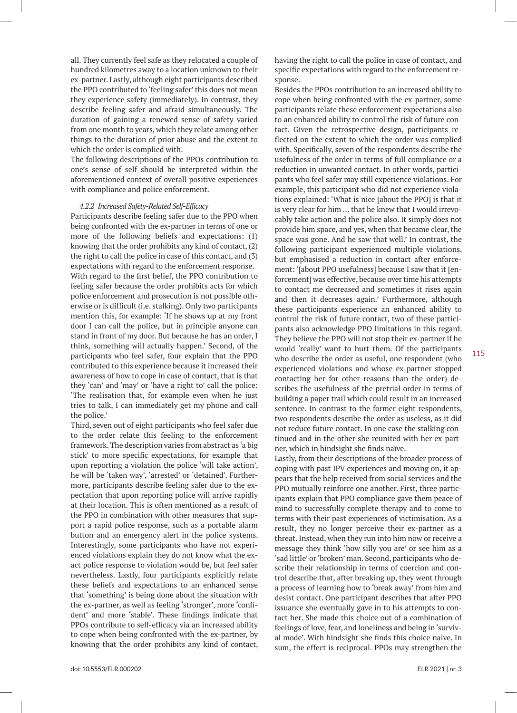all. They currently feel safe as they relocated a couple of hundred kilometres away to a location unknown to their ex-partner. Lastly, although eight participants described the PPO contributed to 'feeling safer' this does not mean they experience safety (immediately). In contrast, they describe feeling safer and afraid simultaneously. The duration of gaining a renewed sense of safety varied from one month to years, which they relate among other things to the duration of prior abuse and the extent to which the order is complied with.

The following descriptions of the PPOs contribution to one's sense of self should be interpreted within the aforementioned context of overall positive experiences with compliance and police enforcement.

#### *4.2.2 Increased Safety-Related Self-Efficacy*

Participants describe feeling safer due to the PPO when being confronted with the ex-partner in terms of one or more of the following beliefs and expectations: (1) knowing that the order prohibits any kind of contact, (2) the right to call the police in case of this contact, and (3) expectations with regard to the enforcement response. With regard to the first belief, the PPO contribution to feeling safer because the order prohibits acts for which police enforcement and prosecution is not possible otherwise or is difficult (i.e. stalking). Only two participants mention this, for example: 'If he shows up at my front door I can call the police, but in principle anyone can stand in front of my door. But because he has an order, I think, something will actually happen.' Second, of the participants who feel safer, four explain that the PPO contributed to this experience because it increased their awareness of how to cope in case of contact, that is that they 'can' and 'may' or 'have a right to' call the police: 'The realisation that, for example even when he just tries to talk, I can immediately get my phone and call the police.'

Third, seven out of eight participants who feel safer due to the order relate this feeling to the enforcement framework. The description varies from abstract as 'a big stick' to more specific expectations, for example that upon reporting a violation the police 'will take action', he will be 'taken way', 'arrested' or 'detained'. Furthermore, participants describe feeling safer due to the expectation that upon reporting police will arrive rapidly at their location. This is often mentioned as a result of the PPO in combination with other measures that support a rapid police response, such as a portable alarm button and an emergency alert in the police systems. Interestingly, some participants who have not experienced violations explain they do not know what the exact police response to violation would be, but feel safer nevertheless. Lastly, four participants explicitly relate these beliefs and expectations to an enhanced sense that 'something' is being done about the situation with the ex-partner, as well as feeling 'stronger', more 'confident' and more 'stable'. These findings indicate that PPOs contribute to self-efficacy via an increased ability to cope when being confronted with the ex-partner, by knowing that the order prohibits any kind of contact, having the right to call the police in case of contact, and specific expectations with regard to the enforcement response.

Besides the PPOs contribution to an increased ability to cope when being confronted with the ex-partner, some participants relate these enforcement expectations also to an enhanced ability to control the risk of future contact. Given the retrospective design, participants reflected on the extent to which the order was complied with. Specifically, seven of the respondents describe the usefulness of the order in terms of full compliance or a reduction in unwanted contact. In other words, participants who feel safer may still experience violations. For example, this participant who did not experience violations explained: 'What is nice [about the PPO] is that it is very clear for him … that he knew that I would irrevocably take action and the police also. It simply does not provide him space, and yes, when that became clear, the space was gone. And he saw that well.' In contrast, the following participant experienced multiple violations, but emphasised a reduction in contact after enforcement: '[about PPO usefulness] because I saw that it [enforcement] was effective, because over time his attempts to contact me decreased and sometimes it rises again and then it decreases again.' Furthermore, although these participants experience an enhanced ability to control the risk of future contact, two of these participants also acknowledge PPO limitations in this regard. They believe the PPO will not stop their ex-partner if he would 'really' want to hurt them. Of the participants who describe the order as useful, one respondent (who experienced violations and whose ex-partner stopped contacting her for other reasons than the order) describes the usefulness of the pretrial order in terms of building a paper trail which could result in an increased sentence. In contrast to the former eight respondents, two respondents describe the order as useless, as it did not reduce future contact. In one case the stalking continued and in the other she reunited with her ex-partner, which in hindsight she finds naïve.

Lastly, from their descriptions of the broader process of coping with past IPV experiences and moving on, it appears that the help received from social services and the PPO mutually reinforce one another. First, three participants explain that PPO compliance gave them peace of mind to successfully complete therapy and to come to terms with their past experiences of victimisation. As a result, they no longer perceive their ex-partner as a threat. Instead, when they run into him now or receive a message they think 'how silly you are' or see him as a 'sad little' or 'broken' man. Second, participants who describe their relationship in terms of coercion and control describe that, after breaking up, they went through a process of learning how to 'break away' from him and desist contact. One participant describes that after PPO issuance she eventually gave in to his attempts to contact her. She made this choice out of a combination of feelings of love, fear, and loneliness and being in 'survival mode'. With hindsight she finds this choice naive. In sum, the effect is reciprocal. PPOs may strengthen the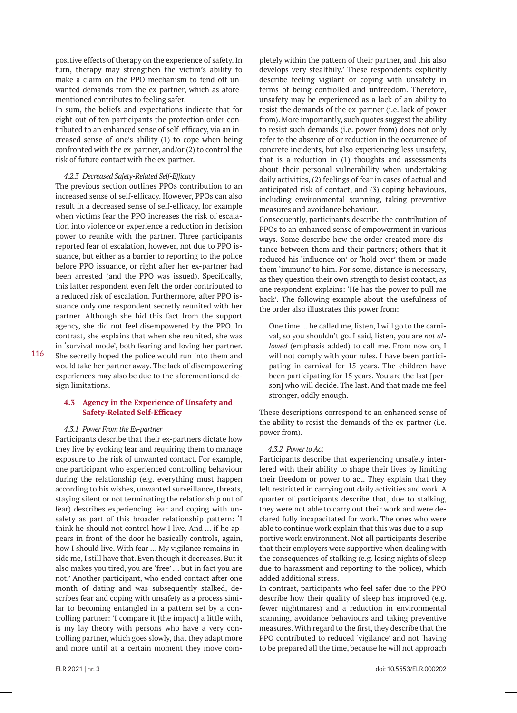positive effects of therapy on the experience of safety. In turn, therapy may strengthen the victim's ability to make a claim on the PPO mechanism to fend off unwanted demands from the ex-partner, which as aforementioned contributes to feeling safer.

In sum, the beliefs and expectations indicate that for eight out of ten participants the protection order contributed to an enhanced sense of self-efficacy, via an increased sense of one's ability (1) to cope when being confronted with the ex-partner, and/or (2) to control the risk of future contact with the ex-partner.

#### *4.2.3 Decreased Safety-Related Self-Efficacy*

The previous section outlines PPOs contribution to an increased sense of self-efficacy. However, PPOs can also result in a decreased sense of self-efficacy, for example when victims fear the PPO increases the risk of escalation into violence or experience a reduction in decision power to reunite with the partner. Three participants reported fear of escalation, however, not due to PPO issuance, but either as a barrier to reporting to the police before PPO issuance, or right after her ex-partner had been arrested (and the PPO was issued). Specifically, this latter respondent even felt the order contributed to a reduced risk of escalation. Furthermore, after PPO issuance only one respondent secretly reunited with her partner. Although she hid this fact from the support agency, she did not feel disempowered by the PPO. In contrast, she explains that when she reunited, she was in 'survival mode', both fearing and loving her partner. She secretly hoped the police would run into them and would take her partner away. The lack of disempowering experiences may also be due to the aforementioned design limitations.

### **4.3 Agency in the Experience of Unsafety and Safety-Related Self-Efficacy**

#### *4.3.1 Power From the Ex-partner*

Participants describe that their ex-partners dictate how they live by evoking fear and requiring them to manage exposure to the risk of unwanted contact. For example, one participant who experienced controlling behaviour during the relationship (e.g. everything must happen according to his wishes, unwanted surveillance, threats, staying silent or not terminating the relationship out of fear) describes experiencing fear and coping with unsafety as part of this broader relationship pattern: 'I think he should not control how I live. And … if he appears in front of the door he basically controls, again, how I should live. With fear … My vigilance remains inside me, I still have that. Even though it decreases. But it also makes you tired, you are 'free' … but in fact you are not.' Another participant, who ended contact after one month of dating and was subsequently stalked, describes fear and coping with unsafety as a process similar to becoming entangled in a pattern set by a controlling partner: 'I compare it [the impact] a little with, is my lay theory with persons who have a very controlling partner, which goes slowly, that they adapt more and more until at a certain moment they move completely within the pattern of their partner, and this also develops very stealthily.' These respondents explicitly describe feeling vigilant or coping with unsafety in terms of being controlled and unfreedom. Therefore, unsafety may be experienced as a lack of an ability to resist the demands of the ex-partner (i.e. lack of power from). More importantly, such quotes suggest the ability to resist such demands (i.e. power from) does not only refer to the absence of or reduction in the occurrence of concrete incidents, but also experiencing less unsafety, that is a reduction in (1) thoughts and assessments about their personal vulnerability when undertaking daily activities, (2) feelings of fear in cases of actual and anticipated risk of contact, and (3) coping behaviours, including environmental scanning, taking preventive measures and avoidance behaviour.

Consequently, participants describe the contribution of PPOs to an enhanced sense of empowerment in various ways. Some describe how the order created more distance between them and their partners; others that it reduced his 'influence on' or 'hold over' them or made them 'immune' to him. For some, distance is necessary, as they question their own strength to desist contact, as one respondent explains: 'He has the power to pull me back'. The following example about the usefulness of the order also illustrates this power from:

One time … he called me, listen, I will go to the carnival, so you shouldn't go. I said, listen, you are *not allowed* (emphasis added) to call me. From now on, I will not comply with your rules. I have been participating in carnival for 15 years. The children have been participating for 15 years. You are the last [person] who will decide. The last. And that made me feel stronger, oddly enough.

These descriptions correspond to an enhanced sense of the ability to resist the demands of the ex-partner (i.e. power from).

#### *4.3.2 Power to Act*

Participants describe that experiencing unsafety interfered with their ability to shape their lives by limiting their freedom or power to act. They explain that they felt restricted in carrying out daily activities and work. A quarter of participants describe that, due to stalking, they were not able to carry out their work and were declared fully incapacitated for work. The ones who were able to continue work explain that this was due to a supportive work environment. Not all participants describe that their employers were supportive when dealing with the consequences of stalking (e.g. losing nights of sleep due to harassment and reporting to the police), which added additional stress.

In contrast, participants who feel safer due to the PPO describe how their quality of sleep has improved (e.g. fewer nightmares) and a reduction in environmental scanning, avoidance behaviours and taking preventive measures. With regard to the first, they describe that the PPO contributed to reduced 'vigilance' and not 'having to be prepared all the time, because he will not approach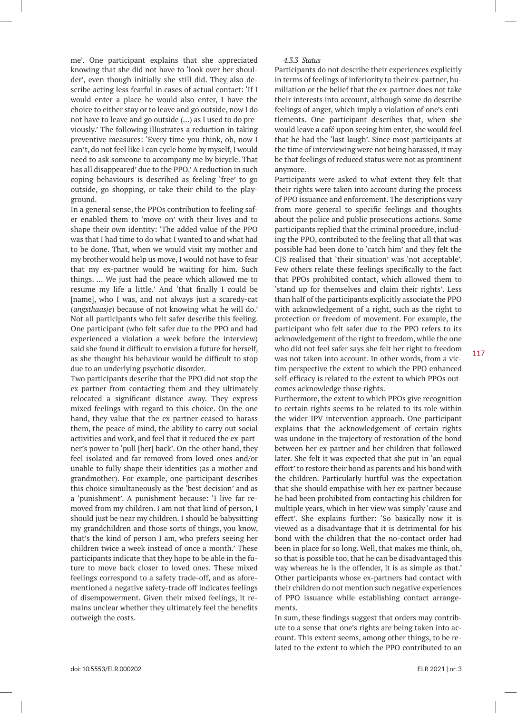me'. One participant explains that she appreciated knowing that she did not have to 'look over her shoulder', even though initially she still did. They also describe acting less fearful in cases of actual contact: 'If I would enter a place he would also enter, I have the choice to either stay or to leave and go outside, now I do not have to leave and go outside (…) as I used to do previously.' The following illustrates a reduction in taking preventive measures: 'Every time you think, oh, now I can't, do not feel like I can cycle home by myself, I would need to ask someone to accompany me by bicycle. That has all disappeared' due to the PPO.' A reduction in such coping behaviours is described as feeling 'free' to go outside, go shopping, or take their child to the playground.

In a general sense, the PPOs contribution to feeling safer enabled them to 'move on' with their lives and to shape their own identity: 'The added value of the PPO was that I had time to do what I wanted to and what had to be done. That, when we would visit my mother and my brother would help us move, I would not have to fear that my ex-partner would be waiting for him. Such things. … We just had the peace which allowed me to resume my life a little.' And 'that finally I could be [name], who I was, and not always just a scaredy-cat (*angsthaasje*) because of not knowing what he will do.' Not all participants who felt safer describe this feeling. One participant (who felt safer due to the PPO and had experienced a violation a week before the interview) said she found it difficult to envision a future for herself, as she thought his behaviour would be difficult to stop due to an underlying psychotic disorder.

Two participants describe that the PPO did not stop the ex-partner from contacting them and they ultimately relocated a significant distance away. They express mixed feelings with regard to this choice. On the one hand, they value that the ex-partner ceased to harass them, the peace of mind, the ability to carry out social activities and work, and feel that it reduced the ex-partner's power to 'pull [her] back'. On the other hand, they feel isolated and far removed from loved ones and/or unable to fully shape their identities (as a mother and grandmother). For example, one participant describes this choice simultaneously as the 'best decision' and as a 'punishment'. A punishment because: 'I live far removed from my children. I am not that kind of person, I should just be near my children. I should be babysitting my grandchildren and those sorts of things, you know, that's the kind of person I am, who prefers seeing her children twice a week instead of once a month.' These participants indicate that they hope to be able in the future to move back closer to loved ones. These mixed feelings correspond to a safety trade-off, and as aforementioned a negative safety-trade off indicates feelings of disempowerment. Given their mixed feelings, it remains unclear whether they ultimately feel the benefits outweigh the costs.

### *4.3.3 Status*

Participants do not describe their experiences explicitly in terms of feelings of inferiority to their ex-partner, humiliation or the belief that the ex-partner does not take their interests into account, although some do describe feelings of anger, which imply a violation of one's entitlements. One participant describes that, when she would leave a café upon seeing him enter, she would feel that he had the 'last laugh'. Since most participants at the time of interviewing were not being harassed, it may be that feelings of reduced status were not as prominent anymore.

Participants were asked to what extent they felt that their rights were taken into account during the process of PPO issuance and enforcement. The descriptions vary from more general to specific feelings and thoughts about the police and public prosecutions actions. Some participants replied that the criminal procedure, including the PPO, contributed to the feeling that all that was possible had been done to 'catch him' and they felt the CJS realised that 'their situation' was 'not acceptable'. Few others relate these feelings specifically to the fact that PPOs prohibited contact, which allowed them to 'stand up for themselves and claim their rights'. Less than half of the participants explicitly associate the PPO with acknowledgement of a right, such as the right to protection or freedom of movement. For example, the participant who felt safer due to the PPO refers to its acknowledgement of the right to freedom, while the one who did not feel safer says she felt her right to freedom was not taken into account. In other words, from a victim perspective the extent to which the PPO enhanced self-efficacy is related to the extent to which PPOs outcomes acknowledge those rights.

Furthermore, the extent to which PPOs give recognition to certain rights seems to be related to its role within the wider IPV intervention approach. One participant explains that the acknowledgement of certain rights was undone in the trajectory of restoration of the bond between her ex-partner and her children that followed later. She felt it was expected that she put in 'an equal effort' to restore their bond as parents and his bond with the children. Particularly hurtful was the expectation that she should empathise with her ex-partner because he had been prohibited from contacting his children for multiple years, which in her view was simply 'cause and effect'. She explains further: 'So basically now it is viewed as a disadvantage that it is detrimental for his bond with the children that the no-contact order had been in place for so long. Well, that makes me think, oh, so that is possible too, that he can be disadvantaged this way whereas he is the offender, it is as simple as that.' Other participants whose ex-partners had contact with their children do not mention such negative experiences of PPO issuance while establishing contact arrangements.

In sum, these findings suggest that orders may contribute to a sense that one's rights are being taken into account. This extent seems, among other things, to be related to the extent to which the PPO contributed to an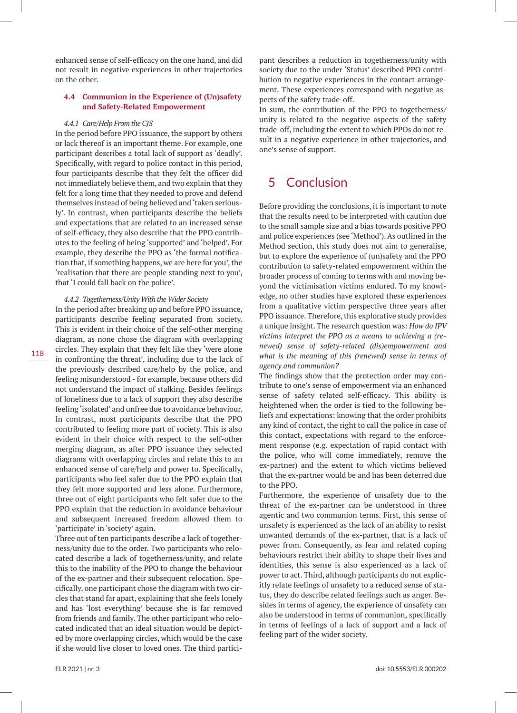enhanced sense of self-efficacy on the one hand, and did not result in negative experiences in other trajectories on the other.

### **4.4 Communion in the Experience of (Un)safety and Safety-Related Empowerment**

#### *4.4.1 Care/Help From the CJS*

In the period before PPO issuance, the support by others or lack thereof is an important theme. For example, one participant describes a total lack of support as 'deadly'. Specifically, with regard to police contact in this period, four participants describe that they felt the officer did not immediately believe them, and two explain that they felt for a long time that they needed to prove and defend themselves instead of being believed and 'taken seriously'. In contrast, when participants describe the beliefs and expectations that are related to an increased sense of self-efficacy, they also describe that the PPO contributes to the feeling of being 'supported' and 'helped'. For example, they describe the PPO as 'the formal notification that, if something happens, we are here for you', the 'realisation that there are people standing next to you', that 'I could fall back on the police'.

*4.4.2 Togetherness/Unity With the Wider Society*

In the period after breaking up and before PPO issuance, participants describe feeling separated from society. This is evident in their choice of the self-other merging diagram, as none chose the diagram with overlapping circles. They explain that they felt like they 'were alone in confronting the threat', including due to the lack of the previously described care/help by the police, and feeling misunderstood - for example, because others did not understand the impact of stalking. Besides feelings of loneliness due to a lack of support they also describe feeling 'isolated' and unfree due to avoidance behaviour. In contrast, most participants describe that the PPO contributed to feeling more part of society. This is also evident in their choice with respect to the self-other merging diagram, as after PPO issuance they selected diagrams with overlapping circles and relate this to an enhanced sense of care/help and power to. Specifically, participants who feel safer due to the PPO explain that they felt more supported and less alone. Furthermore, three out of eight participants who felt safer due to the PPO explain that the reduction in avoidance behaviour and subsequent increased freedom allowed them to 'participate' in 'society' again.

Three out of ten participants describe a lack of togetherness/unity due to the order. Two participants who relocated describe a lack of togetherness/unity, and relate this to the inability of the PPO to change the behaviour of the ex-partner and their subsequent relocation. Specifically, one participant chose the diagram with two circles that stand far apart, explaining that she feels lonely and has 'lost everything' because she is far removed from friends and family. The other participant who relocated indicated that an ideal situation would be depicted by more overlapping circles, which would be the case if she would live closer to loved ones. The third participant describes a reduction in togetherness/unity with society due to the under 'Status' described PPO contribution to negative experiences in the contact arrangement. These experiences correspond with negative aspects of the safety trade-off.

In sum, the contribution of the PPO to togetherness/ unity is related to the negative aspects of the safety trade-off, including the extent to which PPOs do not result in a negative experience in other trajectories, and one's sense of support.

# 5 Conclusion

Before providing the conclusions, it is important to note that the results need to be interpreted with caution due to the small sample size and a bias towards positive PPO and police experiences (see 'Method'). As outlined in the Method section, this study does not aim to generalise, but to explore the experience of (un)safety and the PPO contribution to safety-related empowerment within the broader process of coming to terms with and moving beyond the victimisation victims endured. To my knowledge, no other studies have explored these experiences from a qualitative victim perspective three years after PPO issuance. Therefore, this explorative study provides a unique insight. The research question was: *How do IPV victims interpret the PPO as a means to achieving a (renewed) sense of safety-related (dis)empowerment and what is the meaning of this (renewed) sense in terms of agency and communion?*

The findings show that the protection order may contribute to one's sense of empowerment via an enhanced sense of safety related self-efficacy. This ability is heightened when the order is tied to the following beliefs and expectations: knowing that the order prohibits any kind of contact, the right to call the police in case of this contact, expectations with regard to the enforcement response (e.g. expectation of rapid contact with the police, who will come immediately, remove the ex-partner) and the extent to which victims believed that the ex-partner would be and has been deterred due to the PPO.

Furthermore, the experience of unsafety due to the threat of the ex-partner can be understood in three agentic and two communion terms. First, this sense of unsafety is experienced as the lack of an ability to resist unwanted demands of the ex-partner, that is a lack of power from. Consequently, as fear and related coping behaviours restrict their ability to shape their lives and identities, this sense is also experienced as a lack of power to act. Third, although participants do not explicitly relate feelings of unsafety to a reduced sense of status, they do describe related feelings such as anger. Besides in terms of agency, the experience of unsafety can also be understood in terms of communion, specifically in terms of feelings of a lack of support and a lack of feeling part of the wider society.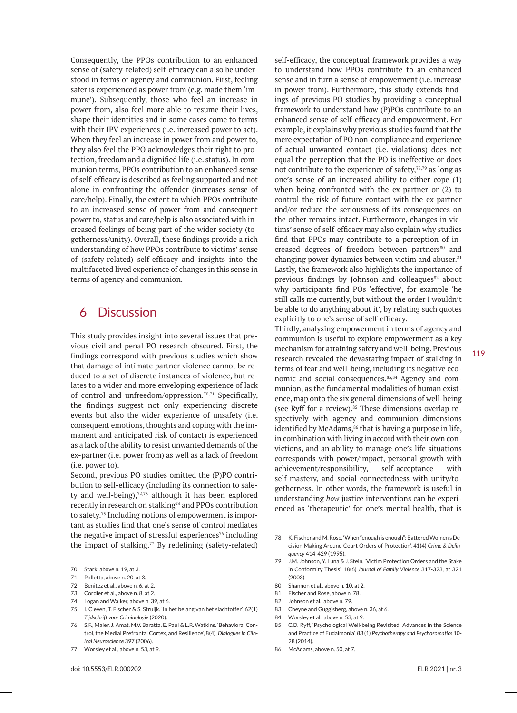Consequently, the PPOs contribution to an enhanced sense of (safety-related) self-efficacy can also be understood in terms of agency and communion. First, feeling safer is experienced as power from (e.g. made them 'immune'). Subsequently, those who feel an increase in power from, also feel more able to resume their lives, shape their identities and in some cases come to terms with their IPV experiences (i.e. increased power to act). When they feel an increase in power from and power to, they also feel the PPO acknowledges their right to protection, freedom and a dignified life (i.e. status). In communion terms, PPOs contribution to an enhanced sense of self-efficacy is described as feeling supported and not alone in confronting the offender (increases sense of care/help). Finally, the extent to which PPOs contribute to an increased sense of power from and consequent power to, status and care/help is also associated with increased feelings of being part of the wider society (togetherness/unity). Overall, these findings provide a rich understanding of how PPOs contribute to victims' sense of (safety-related) self-efficacy and insights into the multifaceted lived experience of changes in this sense in terms of agency and communion.

# 6 Discussion

This study provides insight into several issues that previous civil and penal PO research obscured. First, the findings correspond with previous studies which show that damage of intimate partner violence cannot be reduced to a set of discrete instances of violence, but relates to a wider and more enveloping experience of lack of control and unfreedom/oppression.<sup>70,71</sup> Specifically, the findings suggest not only experiencing discrete events but also the wider experience of unsafety (i.e. consequent emotions, thoughts and coping with the immanent and anticipated risk of contact) is experienced as a lack of the ability to resist unwanted demands of the ex-partner (i.e. power from) as well as a lack of freedom (i.e. power to).

Second, previous PO studies omitted the (P)PO contribution to self-efficacy (including its connection to safety and well-being),<sup>72,73</sup> although it has been explored recently in research on stalking<sup>74</sup> and PPOs contribution to safety.75 Including notions of empowerment is important as studies find that one's sense of control mediates the negative impact of stressful experiences<sup>76</sup> including the impact of stalking. $77$  By redefining (safety-related)

- 70 Stark, above n. 19, at 3.
- 71 Polletta, above n. 20, at 3.
- 72 Benitez et al., above n. 6, at 2.
- 73 Cordier et al., above n. 8, at 2.
- 74 Logan and Walker, above n. 39, at 6.
- 75 I. Cleven, T. Fischer & S. Struijk. 'In het belang van het slachtoffer', 62(1) *Tijdschrift voor Criminologie* (2020).
- 76 S.F., Maier, J. Amat, M.V. Baratta, E. Paul & L.R. Watkins. 'Behavioral Control, the Medial Prefrontal Cortex, and Resilience', 8(4), *Dialogues in Clinical Neuroscience* 397 (2006).
- 77 Worsley et al., above n. 53, at 9.

self-efficacy, the conceptual framework provides a way to understand how PPOs contribute to an enhanced sense and in turn a sense of empowerment (i.e. increase in power from). Furthermore, this study extends findings of previous PO studies by providing a conceptual framework to understand how (P)POs contribute to an enhanced sense of self-efficacy and empowerment. For example, it explains why previous studies found that the mere expectation of PO non-compliance and experience of actual unwanted contact (i.e. violations) does not equal the perception that the PO is ineffective or does not contribute to the experience of safety,  $78,79$  as long as one's sense of an increased ability to either cope (1) when being confronted with the ex-partner or (2) to control the risk of future contact with the ex-partner and/or reduce the seriousness of its consequences on the other remains intact. Furthermore, changes in victims' sense of self-efficacy may also explain why studies find that PPOs may contribute to a perception of increased degrees of freedom between partners<sup>80</sup> and changing power dynamics between victim and abuser. $81$ Lastly, the framework also highlights the importance of previous findings by Johnson and colleagues<sup>82</sup> about why participants find POs 'effective', for example 'he still calls me currently, but without the order I wouldn't be able to do anything about it', by relating such quotes explicitly to one's sense of self-efficacy.

Thirdly, analysing empowerment in terms of agency and communion is useful to explore empowerment as a key mechanism for attaining safety and well-being. Previous research revealed the devastating impact of stalking in terms of fear and well-being, including its negative economic and social consequences.<sup>83,84</sup> Agency and communion, as the fundamental modalities of human existence, map onto the six general dimensions of well-being (see Ryff for a review).<sup>85</sup> These dimensions overlap respectively with agency and communion dimensions identified by McAdams, $86$  that is having a purpose in life, in combination with living in accord with their own convictions, and an ability to manage one's life situations corresponds with power/impact, personal growth with achievement/responsibility, self-acceptance with self-mastery, and social connectedness with unity/togetherness. In other words, the framework is useful in understanding *how* justice interventions can be experienced as 'therapeutic' for one's mental health, that is

- 78 K. Fischer and M. Rose, 'When "enough is enough": Battered Women's Decision Making Around Court Orders of Protection', 41(4) *Crime & Delinquency* 414-429 (1995).
- 79 J.M. Johnson, Y. Luna & J. Stein, 'Victim Protection Orders and the Stake in Conformity Thesis', 18(6) *Journal of Family Violence* 317-323, at 321 (2003).
- 80 Shannon et al., above n. 10, at 2.
- 81 Fischer and Rose, above n. 78.
- 82 Johnson et al., above n. 79.
- 83 Cheyne and Guggisberg, above n. 36, at 6.
- 84 Worsley et al., above n. 53, at 9.
- 85 C.D. Ryff, 'Psychological Well-being Revisited: Advances in the Science and Practice of Eudaimonia', *83* (1) *Psychotherapy and Psychosomatics* 10- 28 (2014).
- 86 McAdams, above n. 50, at 7.